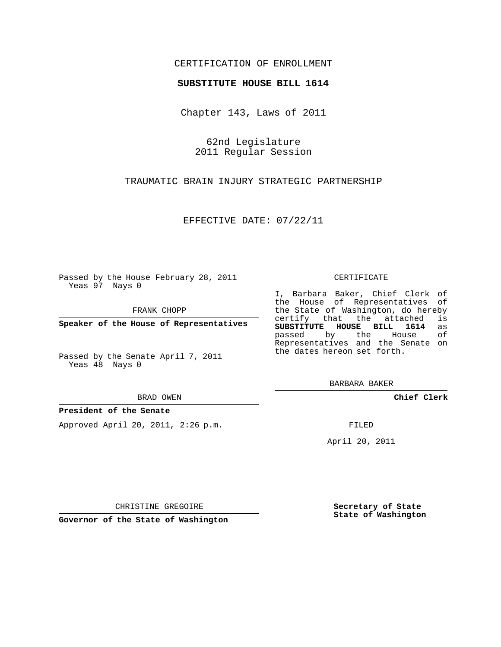### CERTIFICATION OF ENROLLMENT

### **SUBSTITUTE HOUSE BILL 1614**

Chapter 143, Laws of 2011

62nd Legislature 2011 Regular Session

TRAUMATIC BRAIN INJURY STRATEGIC PARTNERSHIP

EFFECTIVE DATE: 07/22/11

Passed by the House February 28, 2011 Yeas 97 Nays 0

FRANK CHOPP

**Speaker of the House of Representatives**

Passed by the Senate April 7, 2011 Yeas 48 Nays 0

#### BRAD OWEN

### **President of the Senate**

Approved April 20, 2011, 2:26 p.m.

#### CERTIFICATE

I, Barbara Baker, Chief Clerk of the House of Representatives of the State of Washington, do hereby<br>certify that the attached is certify that the attached is<br>SUBSTITUTE HOUSE BILL 1614 as **SUBSTITUTE HOUSE BILL 1614** as passed by the House Representatives and the Senate on the dates hereon set forth.

BARBARA BAKER

**Chief Clerk**

FILED

April 20, 2011

CHRISTINE GREGOIRE

**Governor of the State of Washington**

**Secretary of State State of Washington**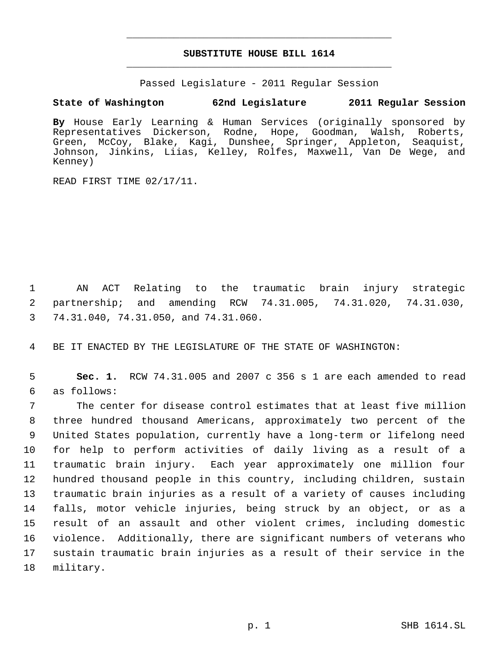## **SUBSTITUTE HOUSE BILL 1614** \_\_\_\_\_\_\_\_\_\_\_\_\_\_\_\_\_\_\_\_\_\_\_\_\_\_\_\_\_\_\_\_\_\_\_\_\_\_\_\_\_\_\_\_\_

\_\_\_\_\_\_\_\_\_\_\_\_\_\_\_\_\_\_\_\_\_\_\_\_\_\_\_\_\_\_\_\_\_\_\_\_\_\_\_\_\_\_\_\_\_

Passed Legislature - 2011 Regular Session

# **State of Washington 62nd Legislature 2011 Regular Session**

**By** House Early Learning & Human Services (originally sponsored by Representatives Dickerson, Rodne, Hope, Goodman, Walsh, Roberts, Green, McCoy, Blake, Kagi, Dunshee, Springer, Appleton, Seaquist, Johnson, Jinkins, Liias, Kelley, Rolfes, Maxwell, Van De Wege, and Kenney)

READ FIRST TIME 02/17/11.

 1 AN ACT Relating to the traumatic brain injury strategic 2 partnership; and amending RCW 74.31.005, 74.31.020, 74.31.030, 3 74.31.040, 74.31.050, and 74.31.060.

4 BE IT ENACTED BY THE LEGISLATURE OF THE STATE OF WASHINGTON:

 5 **Sec. 1.** RCW 74.31.005 and 2007 c 356 s 1 are each amended to read 6 as follows:

 The center for disease control estimates that at least five million three hundred thousand Americans, approximately two percent of the United States population, currently have a long-term or lifelong need for help to perform activities of daily living as a result of a traumatic brain injury. Each year approximately one million four hundred thousand people in this country, including children, sustain traumatic brain injuries as a result of a variety of causes including falls, motor vehicle injuries, being struck by an object, or as a result of an assault and other violent crimes, including domestic violence. Additionally, there are significant numbers of veterans who sustain traumatic brain injuries as a result of their service in the military.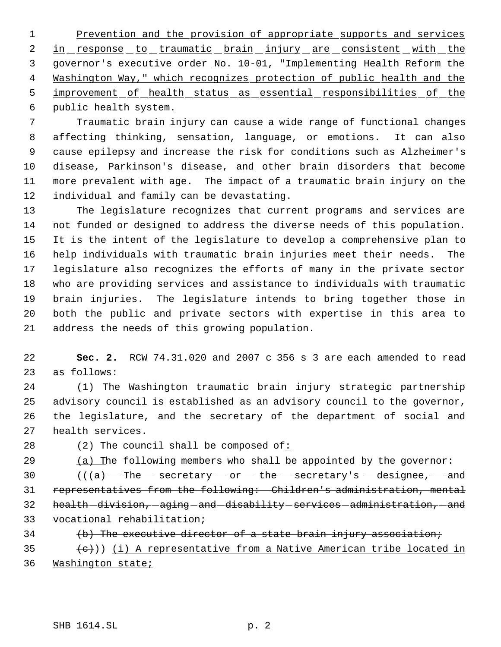1 Prevention and the provision of appropriate supports and services 2 in response to traumatic brain injury are consistent with the governor's executive order No. 10-01, "Implementing Health Reform the Washington Way," which recognizes protection of public health and the 5 improvement of health status as essential responsibilities of the public health system.

 Traumatic brain injury can cause a wide range of functional changes affecting thinking, sensation, language, or emotions. It can also cause epilepsy and increase the risk for conditions such as Alzheimer's disease, Parkinson's disease, and other brain disorders that become more prevalent with age. The impact of a traumatic brain injury on the individual and family can be devastating.

 The legislature recognizes that current programs and services are not funded or designed to address the diverse needs of this population. It is the intent of the legislature to develop a comprehensive plan to help individuals with traumatic brain injuries meet their needs. The legislature also recognizes the efforts of many in the private sector who are providing services and assistance to individuals with traumatic brain injuries. The legislature intends to bring together those in both the public and private sectors with expertise in this area to address the needs of this growing population.

 **Sec. 2.** RCW 74.31.020 and 2007 c 356 s 3 are each amended to read as follows:

 (1) The Washington traumatic brain injury strategic partnership advisory council is established as an advisory council to the governor, the legislature, and the secretary of the department of social and health services.

(2) The council shall be composed of:

29 (a) The following members who shall be appointed by the governor:

 $((+a)$  The  $-$  secretary  $-$  or  $-$  the  $-$  secretary's  $-$  designee,  $-$  and representatives from the following: Children's administration, mental 32 health - division, - aging - and - disability - services - administration, - and vocational rehabilitation;

34 (b) The executive director of a state brain injury association;

35  $\{e\})$  (i) A representative from a Native American tribe located in Washington state;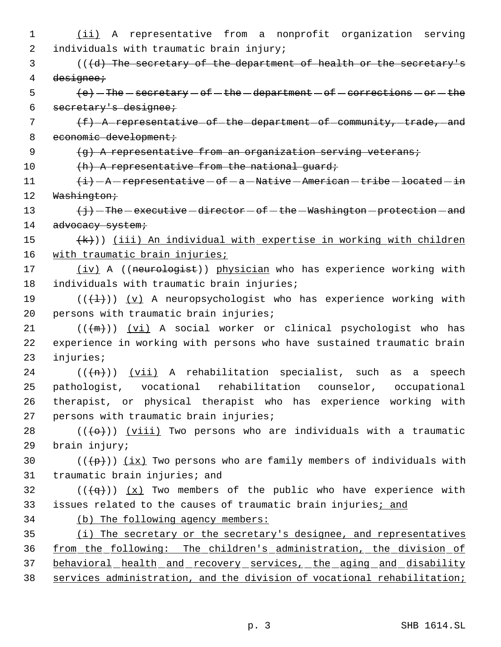1 (ii) A representative from a nonprofit organization serving 2 individuals with traumatic brain injury; 3 (((d) The secretary of the department of health or the secretary's 4 designee;  $\Theta$  (e) - The - secretary - of - the - department - of - corrections - or - the 6 secretary's designee; 7  $(f)$  -A representative of the department of community, trade, and 8 economic development; 9 (g) A representative from an organization serving veterans; 10 (h) A representative from the national quard;  $11$   $\leftarrow$   $\leftarrow$   $\leftarrow$   $A$  -representative - of - a -Native - American - tribe - located - in 12 Washington; 13  $\{\frac{1}{J}\}$  - The - executive - director - of - the - Washington - protection - and 14 advocacy system; 15  $(k)$ ) (iii) An individual with expertise in working with children 16 with traumatic brain injuries; 17 (iv) A ((neurologist)) physician who has experience working with 18 individuals with traumatic brain injuries; 19 ( $(\{\pm\})$ ) (v) A neuropsychologist who has experience working with 20 persons with traumatic brain injuries;  $21$  (( $\left(\frac{m}{m}\right)$ ) (vi) A social worker or clinical psychologist who has 22 experience in working with persons who have sustained traumatic brain 23 injuries; 24 ( $(\overline{(n)})$ ) (vii) A rehabilitation specialist, such as a speech 25 pathologist, vocational rehabilitation counselor, occupational 26 therapist, or physical therapist who has experience working with 27 persons with traumatic brain injuries; 28 ( $(\langle 0 \rangle)$ ) (viii) Two persons who are individuals with a traumatic 29 brain injury; 30 ( $(\frac{p}{p})$ ) (ix) Two persons who are family members of individuals with 31 traumatic brain injuries; and 32 ( $(\overline{q})$ )  $(x)$  Two members of the public who have experience with 33 issues related to the causes of traumatic brain injuries; and 34 (b) The following agency members: 35 (i) The secretary or the secretary's designee, and representatives 36 from the following: The children's administration, the division of 37 behavioral health and recovery services, the aging and disability 38 services administration, and the division of vocational rehabilitation;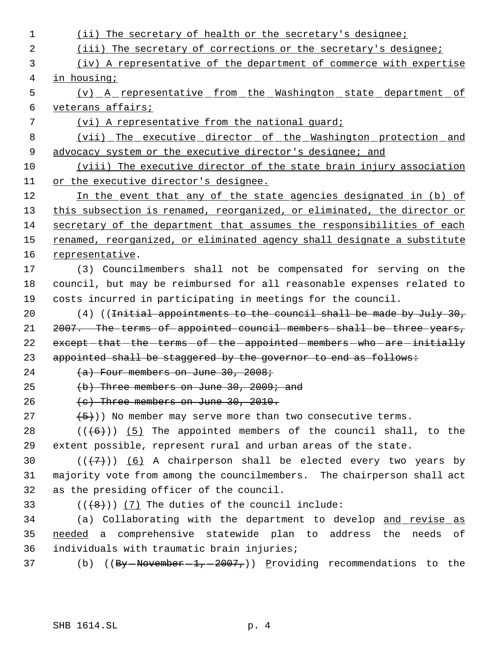1 (ii) The secretary of health or the secretary's designee; 2 (iii) The secretary of corrections or the secretary's designee; (iv) A representative of the department of commerce with expertise in housing; (v) A representative from the Washington state department of veterans affairs; (vi) A representative from the national guard; (vii) The executive director of the Washington protection and 9 advocacy system or the executive director's designee; and (viii) The executive director of the state brain injury association or the executive director's designee. 12 In the event that any of the state agencies designated in (b) of 13 this subsection is renamed, reorganized, or eliminated, the director or secretary of the department that assumes the responsibilities of each 15 renamed, reorganized, or eliminated agency shall designate a substitute representative. (3) Councilmembers shall not be compensated for serving on the council, but may be reimbursed for all reasonable expenses related to costs incurred in participating in meetings for the council.  $(4)$  ((<del>Initial appointments to the council shall be made by July 30,</del> 21 2007. The terms of appointed council members shall be three years, 22 except-that-the-terms-of-the-appointed-members-who-are-initially 23 appointed shall be staggered by the governor to end as follows:  $(a)$  Four members on June 30, 2008;  $(b)$  Three members on June 30, 2009; and  $(e)$  Three members on June 30, 2010.  $(5)$ )) No member may serve more than two consecutive terms.  $((+6))$   $(5)$  The appointed members of the council shall, to the extent possible, represent rural and urban areas of the state.  $((+7+))$  (6) A chairperson shall be elected every two years by majority vote from among the councilmembers. The chairperson shall act as the presiding officer of the council.  $((\{8\})$  (7) The duties of the council include: 34 (a) Collaborating with the department to develop and revise as 35 needed a comprehensive statewide plan to address the needs of individuals with traumatic brain injuries; 37 (b) ((By  $\rightarrow$  November  $-1$ ,  $-2007$ ,)) Providing recommendations to the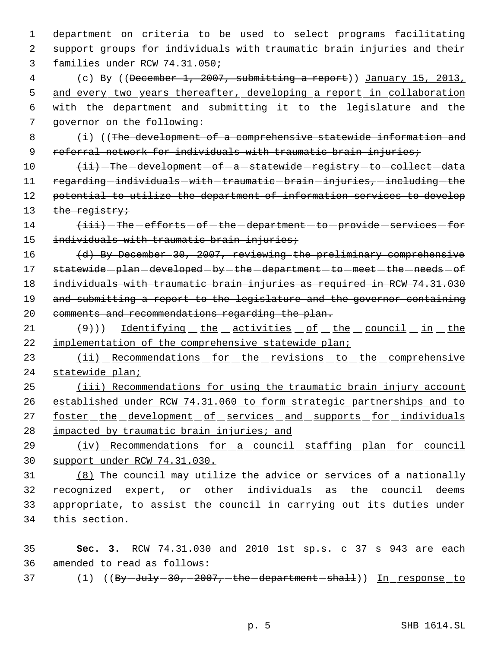1 department on criteria to be used to select programs facilitating 2 support groups for individuals with traumatic brain injuries and their 3 families under RCW 74.31.050;

 (c) By ((December 1, 2007, submitting a report)) January 15, 2013, 5 and every two years thereafter, developing a report in collaboration with the department and submitting it to the legislature and the governor on the following:

 8 (i) ((The development of a comprehensive statewide information and 9 referral network for individuals with traumatic brain injuries;

10  $\overline{\qquad \qquad }$   $\overline{\qquad \qquad }$   $\qquad \qquad +i\overline{i}$   $\qquad -$  development  $\qquad$  of  $\qquad$  a  $\qquad$  statewide  $\qquad$  registry  $\qquad$  to  $\qquad$  collect  $\qquad$  data 11 regarding - individuals - with - traumatic - brain - injuries, - including - the 12 potential to utilize the department of information services to develop 13 the registry;

14  $\overbrace{\text{first}}$  - The -efforts -of -the -department -to -provide -services -for 15 individuals with traumatic brain injuries;

16 (d) By December 30, 2007, reviewing the preliminary comprehensive 17 statewide-plan-developed-by-the-department-to-meet-the-needs-of 18 individuals with traumatic brain injuries as required in RCW 74.31.030 19 and submitting a report to the legislature and the governor containing 20 comments and recommendations regarding the plan.

 $(9)$ ) Identifying the activities of the council in the 22 implementation of the comprehensive statewide plan;

23 (ii) Recommendations for the revisions to the comprehensive 24 statewide plan;

25 (iii) Recommendations for using the traumatic brain injury account 26 established under RCW 74.31.060 to form strategic partnerships and to 27 foster the development of services and supports for individuals 28 impacted by traumatic brain injuries; and

29 (iv) Recommendations for a council staffing plan for council 30 support under RCW 74.31.030.

 (8) The council may utilize the advice or services of a nationally recognized expert, or other individuals as the council deems appropriate, to assist the council in carrying out its duties under this section.

35 **Sec. 3.** RCW 74.31.030 and 2010 1st sp.s. c 37 s 943 are each 36 amended to read as follows:

37 (1) ((By July 30, 2007, the department shall)) In response to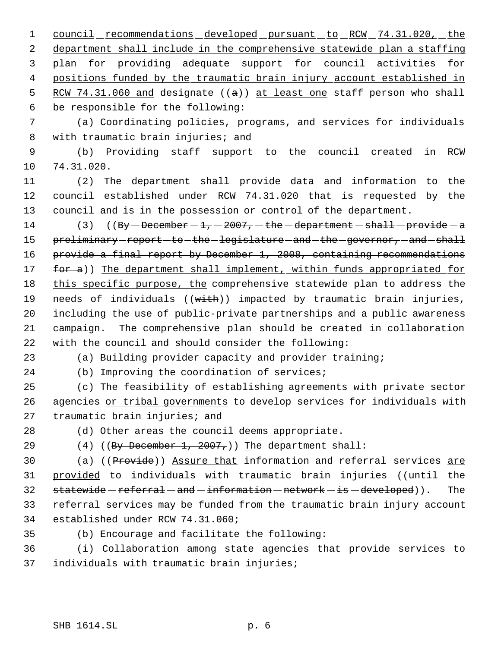1 council recommendations developed pursuant to RCW 74.31.020, the department shall include in the comprehensive statewide plan a staffing 3 plan for providing adequate support for council activities for positions funded by the traumatic brain injury account established in 5 RCW 74.31.060 and designate ((a)) at least one staff person who shall be responsible for the following:

 (a) Coordinating policies, programs, and services for individuals 8 with traumatic brain injuries; and

 (b) Providing staff support to the council created in RCW 74.31.020.

 (2) The department shall provide data and information to the council established under RCW 74.31.020 that is requested by the council and is in the possession or control of the department.

14 (3)  $((By - December - 1, -2007, - the - department - shall - provide - a))$ 15 preliminary-report-to-the-legislature-and-the-governor, and shall provide a final report by December 1, 2008, containing recommendations 17 for a)) The department shall implement, within funds appropriated for 18 this specific purpose, the comprehensive statewide plan to address the 19 needs of individuals ((with)) impacted by traumatic brain injuries, including the use of public-private partnerships and a public awareness campaign. The comprehensive plan should be created in collaboration with the council and should consider the following:

(a) Building provider capacity and provider training;

(b) Improving the coordination of services;

 (c) The feasibility of establishing agreements with private sector 26 agencies or tribal governments to develop services for individuals with 27 traumatic brain injuries; and

(d) Other areas the council deems appropriate.

29 (4) ((By December 1, 2007,)) The department shall:

30 (a) ((Provide)) Assure that information and referral services are 31 provided to individuals with traumatic brain injuries ((until-the  $statewide-referred - and -information -network - is - developed)$ . The referral services may be funded from the traumatic brain injury account established under RCW 74.31.060;

(b) Encourage and facilitate the following:

 (i) Collaboration among state agencies that provide services to individuals with traumatic brain injuries;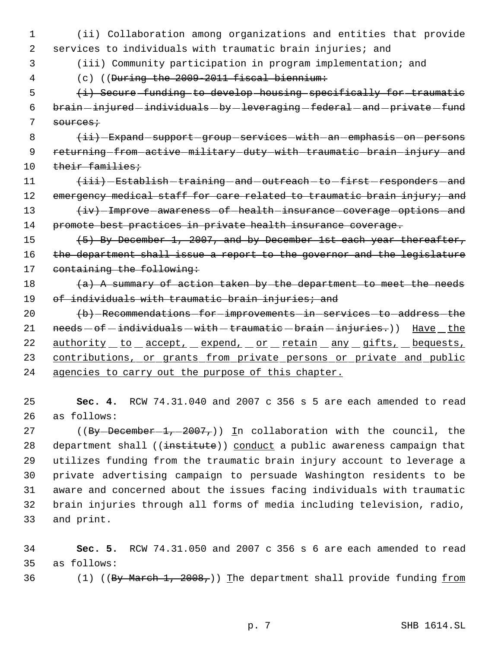1 (ii) Collaboration among organizations and entities that provide 2 services to individuals with traumatic brain injuries; and

3 (iii) Community participation in program implementation; and

4 (c) ((During the 2009-2011 fiscal biennium:

 5 (i) Secure funding to develop housing specifically for traumatic  $6$  brain  $-$ injured  $-$ individuals  $-$  by  $-$  leveraging  $-$  federal  $-$  and  $-$  private  $-$  fund 7 sources;

8 (ii) Expand support group services with an emphasis on persons 9 returning-from-active-military-duty-with-traumatic-brain-injury-and 10 their families;

 $\leftarrow$   $\leftarrow$   $\leftarrow$  Establish - training - and - outreach - to - first - responders - and 12 emergency medical staff for care related to traumatic brain injury; and  $\leftarrow$   $\leftarrow$  Improve awareness of health insurance coverage options and promote best practices in private health insurance coverage.

15 (5) By December 1, 2007, and by December 1st each year thereafter, 16 the department shall issue a report to the governor and the legislature 17 containing the following:

18  $(a)$  A summary of action taken by the department to meet the needs 19 of individuals with traumatic brain injuries; and

20 (b) Recommendations for improvements in services to address the 21  $needs - of - individuals - with - transition - brain - injuries.)$  Have the 22 authority to accept, expend, or retain any gifts, bequests, 23 contributions, or grants from private persons or private and public 24 agencies to carry out the purpose of this chapter.

25 **Sec. 4.** RCW 74.31.040 and 2007 c 356 s 5 are each amended to read 26 as follows:

27 ((By-December 1, -2007,)) In collaboration with the council, the 28 department shall ((institute)) conduct a public awareness campaign that utilizes funding from the traumatic brain injury account to leverage a private advertising campaign to persuade Washington residents to be aware and concerned about the issues facing individuals with traumatic brain injuries through all forms of media including television, radio, and print.

34 **Sec. 5.** RCW 74.31.050 and 2007 c 356 s 6 are each amended to read 35 as follows:

36 (1) ((By March 1, 2008,)) The department shall provide funding from